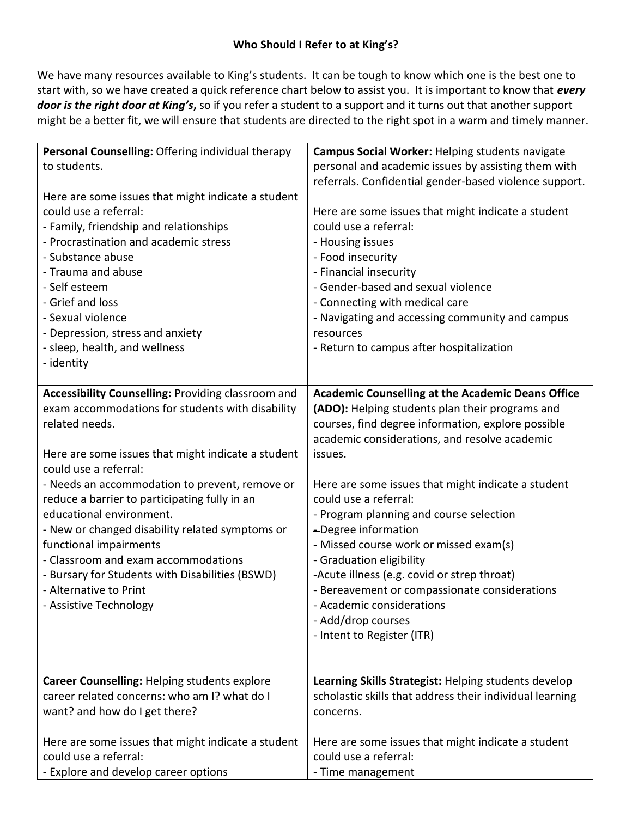## **Who Should I Refer to at King's?**

We have many resources available to King's students. It can be tough to know which one is the best one to start with, so we have created a quick reference chart below to assist you. It is important to know that *every door is the right door at King's***,** so if you refer a student to a support and it turns out that another support might be a better fit, we will ensure that students are directed to the right spot in a warm and timely manner.

| Personal Counselling: Offering individual therapy  | Campus Social Worker: Helping students navigate          |
|----------------------------------------------------|----------------------------------------------------------|
| to students.                                       | personal and academic issues by assisting them with      |
|                                                    | referrals. Confidential gender-based violence support.   |
| Here are some issues that might indicate a student |                                                          |
| could use a referral:                              | Here are some issues that might indicate a student       |
| - Family, friendship and relationships             | could use a referral:                                    |
| - Procrastination and academic stress              | - Housing issues                                         |
| - Substance abuse                                  | - Food insecurity                                        |
| - Trauma and abuse                                 | - Financial insecurity                                   |
| - Self esteem                                      | - Gender-based and sexual violence                       |
| - Grief and loss                                   | - Connecting with medical care                           |
| - Sexual violence                                  | - Navigating and accessing community and campus          |
| - Depression, stress and anxiety                   | resources                                                |
| - sleep, health, and wellness                      | - Return to campus after hospitalization                 |
| - identity                                         |                                                          |
|                                                    |                                                          |
| Accessibility Counselling: Providing classroom and | <b>Academic Counselling at the Academic Deans Office</b> |
| exam accommodations for students with disability   | (ADO): Helping students plan their programs and          |
| related needs.                                     | courses, find degree information, explore possible       |
|                                                    | academic considerations, and resolve academic            |
| Here are some issues that might indicate a student | issues.                                                  |
| could use a referral:                              |                                                          |
| - Needs an accommodation to prevent, remove or     | Here are some issues that might indicate a student       |
| reduce a barrier to participating fully in an      | could use a referral:                                    |
| educational environment.                           | - Program planning and course selection                  |
| - New or changed disability related symptoms or    | -Degree information                                      |
| functional impairments                             | -Missed course work or missed exam(s)                    |
| - Classroom and exam accommodations                | - Graduation eligibility                                 |
| - Bursary for Students with Disabilities (BSWD)    | -Acute illness (e.g. covid or strep throat)              |
| - Alternative to Print                             | - Bereavement or compassionate considerations            |
| - Assistive Technology                             | - Academic considerations                                |
|                                                    | - Add/drop courses                                       |
|                                                    | - Intent to Register (ITR)                               |
|                                                    |                                                          |
|                                                    |                                                          |
| Career Counselling: Helping students explore       | Learning Skills Strategist: Helping students develop     |
| career related concerns: who am I? what do I       | scholastic skills that address their individual learning |
| want? and how do I get there?                      | concerns.                                                |
| Here are some issues that might indicate a student | Here are some issues that might indicate a student       |
| could use a referral:                              | could use a referral:                                    |
| - Explore and develop career options               | - Time management                                        |